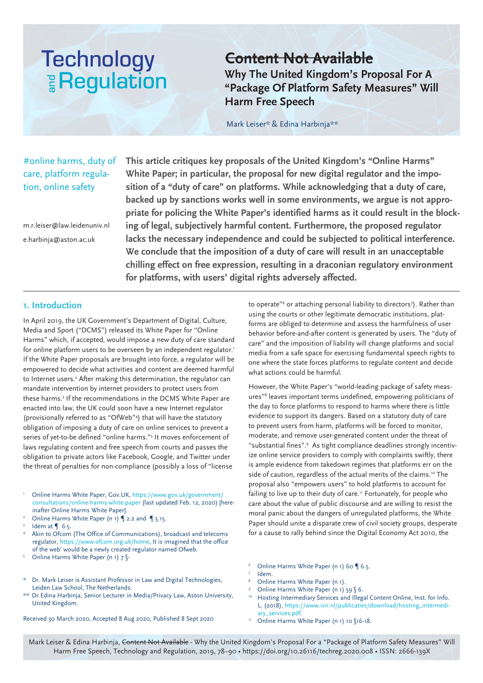# **Technology E** Regulation

# **Content Not Available**

**Why The United Kingdom's Proposal For A "Package Of Platform Safety Measures" Will Harm Free Speech**

Mark Leiser\* & Edina Harbinja\*\*

# care, platform regulation, online safety

m.r.leiser@law.leidenuniv.nl e.harbinja@aston.ac.uk

#online harms, duty of **This article critiques key proposals of the United Kingdom's "Online Harms" White Paper; in particular, the proposal for new digital regulator and the imposition of a "duty of care" on platforms. While acknowledging that a duty of care, backed up by sanctions works well in some environments, we argue is not appropriate for policing the White Paper's identified harms as it could result in the blocking of legal, subjectively harmful content. Furthermore, the proposed regulator lacks the necessary independence and could be subjected to political interference. We conclude that the imposition of a duty of care will result in an unacceptable chilling effect on free expression, resulting in a draconian regulatory environment for platforms, with users' digital rights adversely affected.**

# **1. Introduction**

In April 2019, the UK Government's Department of Digital, Culture, Media and Sport ("DCMS") released its White Paper for "Online Harms" which, if accepted, would impose a new duty of care standard for online platform users to be overseen by an independent regulator.<sup>1</sup> If the White Paper proposals are brought into force, a regulator will be empowered to decide what activities and content are deemed harmful to Internet users.<sup>2</sup> After making this determination, the regulator can mandate intervention by internet providers to protect users from these harms.3 If the recommendations in the DCMS White Paper are enacted into law, the UK could soon have a new Internet regulator (provisionally referred to as "OfWeb"4 ) that will have the statutory obligation of imposing a duty of care on online services to prevent a series of yet-to-be defined "online harms."5 It moves enforcement of laws regulating content and free speech from courts and passes the obligation to private actors like Facebook, Google, and Twitter under the threat of penalties for non-compliance (possibly a loss of "license

- <sup>1</sup> Online Harms White Paper, Gov.UK, https://www.gov.uk/government/ consultations/online-harms-white-paper (last updated Feb. 12, 2020) [hereinafter Online Harms White Paper].
- Online Harms White Paper (n 1) | 2.2 and | 5.15.
- $3$  Idem at  $\bigcirc$  6.5.
- Akin to Ofcom (The Office of Communications), broadcast and telecoms regulator, https://www.ofcom.org.uk/home, It is imagined that the office of the web' would be a newly created regulator named Ofweb.
- 5 Online Harms White Paper (n 1) 7 §-
- Dr. Mark Leiser is Assistant Professor in Law and Digital Technologies, Leiden Law School, The Netherlands.
- \*\* Dr Edina Harbinja, Senior Lecturer in Media/Privacy Law, Aston University, United Kingdom.

Received 30 March 2020, Accepted 8 Aug 2020, Published 8 Sept 2020

to operate"<sup>6</sup> or attaching personal liability to directors<sup>7</sup>). Rather than using the courts or other legitimate democratic institutions, platforms are obliged to determine and assess the harmfulness of user behavior before-and-after content is generated by users. The "duty of care" and the imposition of liability will change platforms and social media from a safe space for exercising fundamental speech rights to one where the state forces platforms to regulate content and decide what actions could be harmful.

However, the White Paper's "world-leading package of safety measures"8 leaves important terms undefined, empowering politicians of the day to force platforms to respond to harms where there is little evidence to support its dangers. Based on a statutory duty of care to prevent users from harm, platforms will be forced to monitor, moderate, and remove user-generated content under the threat of "substantial fines".9 As tight compliance deadlines strongly incentivize online service providers to comply with complaints swiftly, there is ample evidence from takedown regimes that platforms err on the side of caution, regardless of the actual merits of the claims.<sup>10</sup> The proposal also "empowers users" to hold platforms to account for failing to live up to their duty of care.<sup>11</sup> Fortunately, for people who care about the value of public discourse and are willing to resist the moral panic about the dangers of unregulated platforms, the White Paper should unite a disparate crew of civil society groups, desperate for a cause to rally behind since the Digital Economy Act 2010, the

- Online Harms White Paper (n 1) 60 | 6.5.
- 
- Idem.<br>Online Harms White Paper (n 1).
- Online Harms White Paper (n 1) 59  $$6.$ Hosting Intermediary Services and Illegal Content Online, Inst. for Info. L. (2018), https://www.ivir.nl/publicaties/download/hosting\_intermediary\_services.pdf.
- <sup>11</sup> Online Harms White Paper (n 1) 10 §16-18.

Mark Leiser & Edina Harbinja, Content Not Available - Why the United Kingdom's Proposal For a "Package of Platform Safety Measures" Will Harm Free Speech, Technology and Regulation, 2019, 78–90 • https://doi.org/10.26116/techreg.2020.008 • ISSN: 2666-139X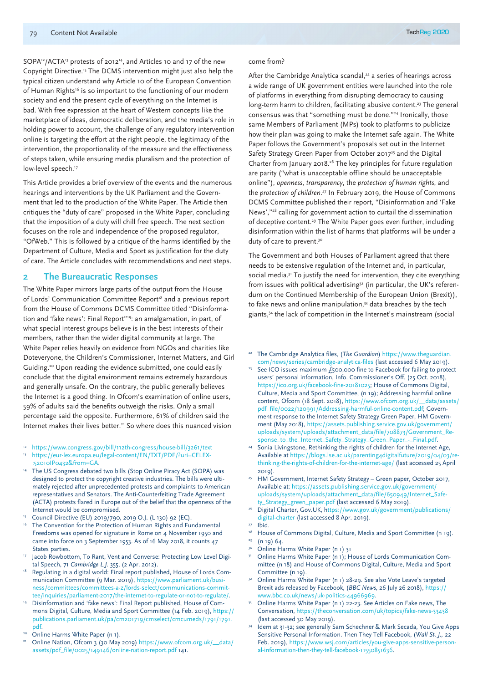SOPA<sup>12</sup>/ACTA<sup>13</sup> protests of 2012<sup>14</sup>, and Articles 10 and 17 of the new Copyright Directive.15 The DCMS intervention might just also help the typical citizen understand why Article 10 of the European Convention of Human Rights<sup>16</sup> is so important to the functioning of our modern society and end the present cycle of everything on the Internet is bad. With free expression at the heart of Western concepts like the marketplace of ideas, democratic deliberation, and the media's role in holding power to account, the challenge of any regulatory intervention online is targeting the effort at the right people, the legitimacy of the intervention, the proportionality of the measure and the effectiveness of steps taken, while ensuring media pluralism and the protection of low-level speech.<sup>17</sup>

This Article provides a brief overview of the events and the numerous hearings and interventions by the UK Parliament and the Government that led to the production of the White Paper. The Article then critiques the "duty of care" proposed in the White Paper, concluding that the imposition of a duty will chill free speech. The next section focuses on the role and independence of the proposed regulator, "OfWeb." This is followed by a critique of the harms identified by the Department of Culture, Media and Sport as justification for the duty of care. The Article concludes with recommendations and next steps.

#### **2 The Bureaucratic Responses**

The White Paper mirrors large parts of the output from the House of Lords' Communication Committee Report<sup>18</sup> and a previous report from the House of Commons DCMS Committee titled "Disinformation and 'fake news': Final Report"<sup>19</sup>: an amalgamation, in part, of what special interest groups believe is in the best interests of their members, rather than the wider digital community at large. The White Paper relies heavily on evidence from NGOs and charities like Doteveryone, the Children's Commissioner, Internet Matters, and Girl Guiding.20 Upon reading the evidence submitted, one could easily conclude that the digital environment remains extremely hazardous and generally unsafe. On the contrary, the public generally believes the Internet is a good thing. In Ofcom's examination of online users, 59% of adults said the benefits outweigh the risks. Only a small percentage said the opposite. Furthermore, 61% of children said the Internet makes their lives better.<sup>21</sup> So where does this nuanced vision

- <sup>12</sup> https://www.congress.gov/bill/112th-congress/house-bill/3261/text
- https://eur-lex.europa.eu/legal-content/EN/TXT/PDF/?uri=CELEX-:52010IP0432&from=GA.<br>The US Congress debated two bills (Stop Online Piracy Act (SOPA) was
- designed to protect the copyright creative industries. The bills were ultimately rejected after unprecedented protests and complaints to American representatives and Senators. The Anti-Counterfeiting Trade Agreement (ACTA) protests flared in Europe out of the belief that the openness of the Internet would be compromised.
- <sup>15</sup> Council Directive (EU) 2019/790, 2019 O.J. (L 130) 92 (EC).
- The Convention for the Protection of Human Rights and Fundamental Freedoms was opened for signature in Rome on 4 November 1950 and came into force on 3 September 1953. As of 16 May 2018, it counts 47 States parties.
- Jacob Rowbottom, To Rant, Vent and Converse: Protecting Low Level Digital Speech, 71 *Cambridge L.J.* 355, (2 Apr. 2012).
- Regulating in a digital world: Final report published, House of Lords Communication Committee (9 Mar. 2019), https://www.parliament.uk/business/committees/committees-a-z/lords-select/communications-committee/inquiries/parliament-2017/the-internet-to-regulate-or-not-to-regulate/.<br>Disinformation and 'fake news': Final Report published, House of Com-
- mons Digital, Culture, Media and Sport Committee (14 Feb. 2019), https:// publications.parliament.uk/pa/cm201719/cmselect/cmcumeds/1791/1791. pdf.
- 
- Online Harms White Paper (n 1).<br>Online Nation, Ofcom 3 (30 May 2019) https://www.ofcom.org.uk/\_\_data/ assets/pdf\_file/0025/149146/online-nation-report.pdf 141.

#### come from?

After the Cambridge Analytica scandal,<sup>22</sup> a series of hearings across a wide range of UK government entities were launched into the role of platforms in everything from disrupting democracy to causing long-term harm to children, facilitating abusive content.<sup>23</sup> The general consensus was that "something must be done."24 Ironically, those same Members of Parliament (MPs) took to platforms to publicize how their plan was going to make the Internet safe again. The White Paper follows the Government's proposals set out in the Internet Safety Strategy Green Paper from October 2017<sup>25</sup> and the Digital Charter from January 2018.26 The key principles for future regulation are parity ("what is unacceptable offline should be unacceptable online"), *openness*, *transparency*, the *protection of human rights*, and the *protection of children*. 27 In February 2019, the House of Commons DCMS Committee published their report, "Disinformation and 'Fake News',"28 calling for government action to curtail the dissemination of deceptive content.<sup>29</sup> The White Paper goes even further, including disinformation within the list of harms that platforms will be under a duty of care to prevent.<sup>30</sup>

The Government and both Houses of Parliament agreed that there needs to be extensive regulation of the Internet and, in particular, social media.<sup>31</sup> To justify the need for intervention, they cite everything from issues with political advertising<sup>32</sup> (in particular, the UK's referendum on the Continued Membership of the European Union (Brexit)), to fake news and online manipulation,<sup>33</sup> data breaches by the tech giants,34 the lack of competition in the Internet's mainstream (social

- <sup>22</sup> The Cambridge Analytica files, (*The Guardian*) https://www.theguardian. com/news/series/cambridge-analytica-files (last accessed 6 May 2019).
- <sup>23</sup> See ICO issues maximum  $\bar{f}_5$ 00,000 fine to Facebook for failing to protect users' personal information, Info. Commissioner's Off. (25 Oct. 2018), https://ico.org.uk/facebook-fine-20181025; House of Commons Digital, Culture, Media and Sport Committee, (n 19); Addressing harmful online content, Ofcom (18 Sept. 2018), https://www.ofcom.org.uk/\_\_data/assets/ pdf\_file/0022/120991/Addressing-harmful-online-content.pdf; Government response to the Internet Safety Strategy Green Paper, HM Government (May 2018), https://assets.publishing.service.gov.uk/government/ uploads/system/uploads/attachment\_data/file/708873/Government\_Re-<br>sponse\_to\_the\_Internet\_Safety\_Strategy\_Green\_Paper\_-\_Final.pdf.
- <sup>24</sup> Sonia Livingstone, Rethinking the rights of children for the Internet Age, Available at https://blogs.lse.ac.uk/parenting4digitalfuture/2019/04/03/rethinking-the-rights-of-children-for-the-internet-age/ (last accessed 25 April 2019).
- <sup>25</sup> HM Government, Internet Safety Strategy Green paper, October 2017, Available at: https://assets.publishing.service.gov.uk/government/ uploads/system/uploads/attachment\_data/file/650949/Internet\_Safety\_Strategy\_green\_paper.pdf (last accessed 6 May 2019).
- Digital Charter, Gov.UK, https://www.gov.uk/government/publications/ digital-charter (last accessed 8 Apr. 2019).
- 
- <sup>27</sup> Ibid.<br><sup>28</sup> House of Commons Digital, Culture, Media and Sport Committee (n 19).
- $29$  (n 19) 64.
- <sup>30</sup> Online Harms White Paper (n 1) 31<br><sup>31</sup> Online Harms White Paper (n 1): H
- <sup>31</sup> Online Harms White Paper (n 1); House of Lords Communication Committee (n 18) and House of Commons Digital, Culture, Media and Sport Committee (n 19). 32 Online Harms White Paper (n 1) 28-29. See also Vote Leave's targeted
- Brexit ads released by Facebook, (*BBC News*, 26 July 26 2018), https:// www.bbc.co.uk/news/uk-politics-44966969.
- <sup>33</sup> Online Harms White Paper (n 1) 22-23. See Articles on Fake news, The Conversation, https://theconversation.com/uk/topics/fake-news-33438 (last accessed 30 May 2019).
- <sup>34</sup> Idem at 31-32; see generally Sam Schechner & Mark Secada, You Give Apps Sensitive Personal Information. Then They Tell Facebook, (*Wall St. J.,* 22 Feb. 2019), https://www.wsj.com/articles/you-give-apps-sensitive-personal-information-then-they-tell-facebook-11550851636.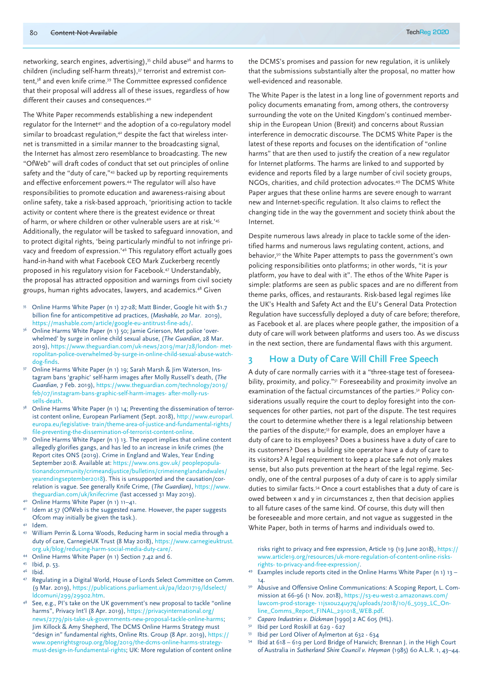networking, search engines, advertising),<sup>35</sup> child abuse<sup>36</sup> and harms to children (including self-harm threats),<sup>37</sup> terrorist and extremist content,<sup>38</sup> and even knife crime.<sup>39</sup> The Committee expressed confidence that their proposal will address all of these issues, regardless of how different their causes and consequences.40

The White Paper recommends establishing a new independent regulator for the Internet<sup>41</sup> and the adoption of a co-regulatory model similar to broadcast regulation,<sup>42</sup> despite the fact that wireless internet is transmitted in a similar manner to the broadcasting signal, the Internet has almost zero resemblance to broadcasting. The new "OfWeb" will draft codes of conduct that set out principles of online safety and the "duty of care,"43 backed up by reporting requirements and effective enforcement powers.<sup>44</sup> The regulator will also have responsibilities to promote education and awareness-raising about online safety, take a risk-based approach, 'prioritising action to tackle activity or content where there is the greatest evidence or threat of harm, or where children or other vulnerable users are at risk.'45 Additionally, the regulator will be tasked to safeguard innovation, and to protect digital rights, 'being particularly mindful to not infringe privacy and freedom of expression.'46 This regulatory effort actually goes hand-in-hand with what Facebook CEO Mark Zuckerberg recently proposed in his regulatory vision for Facebook.47 Understandably, the proposal has attracted opposition and warnings from civil society groups, human rights advocates, lawyers, and academics.48 Given

- <sup>35</sup> Online Harms White Paper (n 1) 27-28; Matt Binder, Google hit with \$1.7 billion fine for anticompetitive ad practices, (*Mashable, 20* Mar. 2019), https://mashable.com/article/google-eu-antitrust-fine-ads/.
- Online Harms White Paper (n 1) 50; Jamie Grierson, Met police 'overwhelmed' by surge in online child sexual abuse, (*The Guardian*, 28 Mar. 2019), https://www.theguardian.com/uk-news/2019/mar/28/london- metropolitan-police-overwhelmed-by-surge-in-online-child-sexual-abuse-watchdog-finds.
- Online Harms White Paper (n 1) 19; Sarah Marsh & Jim Waterson, Instagram bans 'graphic' self-harm images after Molly Russell's death, (*The Guardian*, 7 Feb. 2019), https://www.theguardian.com/technology/2019/ feb/07/instagram-bans-graphic-self-harm-images- after-molly-russells-death.
- Online Harms White Paper (n 1) 14; Preventing the dissemination of terrorist content online, European Parliament (Sept. 2018), http://www.europarl. europa.eu/legislative- train/theme-area-of-justice-and-fundamental-rights/ file-preventing-the-dissemination-of-terrorist-content-online.
- <sup>39</sup> Online Harms White Paper (n 1) 13. The report implies that online content allegedly glorifies gangs, and has led to an increase in knife crimes (the Report cites ONS (2019). Crime in England and Wales, Year Ending September 2018. Available at: https://www.ons.gov.uk/ peoplepopulationandcommunity/crimeandjustice/bulletins/crimeinenglandandwales/ yearendingseptember2018). This is unsupported and the causation/correlation is vague. See generally Knife Crime, (*The Guardian)*, https://www. theguardian.com/uk/knifecrime (last accessed 31 May 2019).
- Online Harms White Paper (n 1) 11-41.
- Idem at 57 (OfWeb is the suggested name. However, the paper suggests Ofcom may initially be given the task.).
- <sup>42</sup> Idem.
- <sup>43</sup> William Perrin & Lorna Woods, Reducing harm in social media through a duty of care, CarnegieUK Trust (8 May 2018), https://www.carnegieuktrust. org.uk/blog/reducing-harm-social-media-duty-care/.
- 
- 
- 
- 44 Online Harms White Paper (n 1) Section 7.42 and 6.<br>45 Ibid, p. 53.<br>46 Ibid. 47 Regulating in a Digital World, House of Lords Select Committee on Comm. (9 Mar. 2019), https://publications.parliament.uk/pa/ld201719/ldselect/ ldcomuni/299/29902.htm.
- <sup>48</sup> See, e.g., PI's take on the UK government's new proposal to tackle "online harms", Privacy Int'l (8 Apr. 2019), https://privacyinternational.org/ news/2779/pis-take-uk-governments-new-proposal-tackle-online-harms; Jim Killock & Amy Shepherd, The DCMS Online Harms Strategy must "design in" fundamental rights, Online Rts. Group (8 Apr. 2019), https:// www.openrightsgroup.org/blog/2019/the-dcms-online-harms-strategymust-design-in-fundamental-rights; UK: More regulation of content online

the DCMS's promises and passion for new regulation, it is unlikely that the submissions substantially alter the proposal, no matter how well-evidenced and reasonable.

The White Paper is the latest in a long line of government reports and policy documents emanating from, among others, the controversy surrounding the vote on the United Kingdom's continued membership in the European Union (Brexit) and concerns about Russian interference in democratic discourse. The DCMS White Paper is the latest of these reports and focuses on the identification of "online harms" that are then used to justify the creation of a new regulator for Internet platforms. The harms are linked to and supported by evidence and reports filed by a large number of civil society groups, NGOs, charities, and child protection advocates.49 The DCMS White Paper argues that these online harms are severe enough to warrant new and Internet-specific regulation. It also claims to reflect the changing tide in the way the government and society think about the Internet.

Despite numerous laws already in place to tackle some of the identified harms and numerous laws regulating content, actions, and behavior,50 the White Paper attempts to pass the government's own policing responsibilities onto platforms; in other words, "it is *your* platform, *you* have to deal with it". The ethos of the White Paper is simple: platforms are seen as public spaces and are no different from theme parks, offices, and restaurants. Risk-based legal regimes like the UK's Health and Safety Act and the EU's General Data Protection Regulation have successfully deployed a duty of care before; therefore, as Facebook et al. are places where people gather, the imposition of a duty of care will work between platforms and users too. As we discuss in the next section, there are fundamental flaws with this argument.

### **3 How a Duty of Care Will Chill Free Speech**

A duty of care normally carries with it a "three-stage test of foreseeability, proximity, and policy."<sup>51</sup> Foreseeability and proximity involve an examination of the factual circumstances of the parties.<sup>52</sup> Policy considerations usually require the court to deploy foresight into the consequences for other parties, not part of the dispute. The test requires the court to determine whether there is a legal relationship between the parties of the dispute;<sup>53</sup> for example, does an employer have a duty of care to its employees? Does a business have a duty of care to its customers? Does a building site operator have a duty of care to its visitors? A legal requirement to keep a place safe not only makes sense, but also puts prevention at the heart of the legal regime. Secondly, one of the central purposes of a duty of care is to apply similar duties to similar facts.<sup>54</sup> Once a court establishes that a duty of care is owed between x and y in circumstances z, then that decision applies to all future cases of the same kind. Of course, this duty will then be foreseeable and more certain, and not vague as suggested in the White Paper, both in terms of harms and individuals owed to.

risks right to privacy and free expression, Article 19 (19 June 2018), https:// www.article19.org/resources/uk-more-regulation-of-content-online-risksrights- to-privacy-and-free-expression/.

- <sup>49</sup> Examples include reports cited in the Online Harms White Paper (n 1) 13 14.
- 50 Abusive and Offensive Online Communications: A Scoping Report, L. Commission at 66-96 (1 Nov. 2018), https://s3-eu-west-2.amazonaws.com/ lawcom-prod-storage- 11jsxou24uy7q/uploads/2018/10/6\_5039\_LC\_Online\_Comms\_Report\_FINAL\_291018\_WEB.pdf.
- <sup>51</sup> *Caparo Industries v. Dickman* [1990] 2 AC 605 (HL).
- Ibid per Lord Roskill at 629 627
- <sup>53</sup> Ibid per Lord Oliver of Aylmerton at 632 634
- <sup>54</sup> Ibid at 618 619 per Lord Bridge of Harwich; Brennan J. in the High Court of Australia in *Sutherland Shire Council v. Heyman* (1985) 60 A.L.R. 1, 43–44.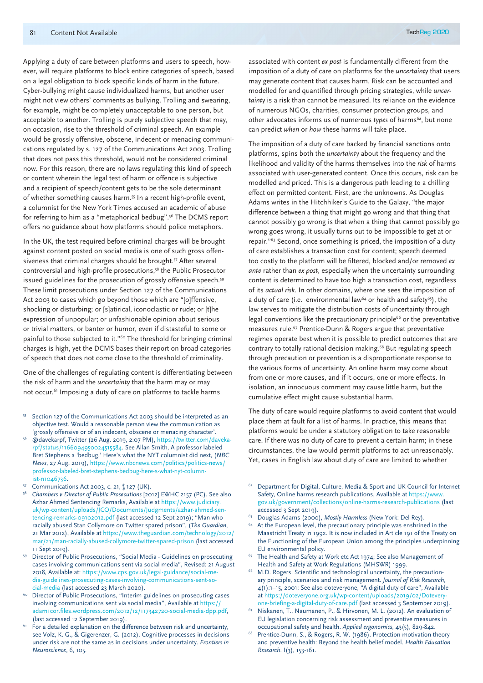Applying a duty of care between platforms and users to speech, however, will require platforms to block entire categories of speech, based on a legal obligation to block specific kinds of harm in the future. Cyber-bullying might cause individualized harms, but another user might not view others' comments as bullying. Trolling and swearing, for example, might be completely unacceptable to one person, but acceptable to another. Trolling is purely subjective speech that may, on occasion, rise to the threshold of criminal speech. An example would be grossly offensive, obscene, indecent or menacing communications regulated by s. 127 of the Communications Act 2003. Trolling that does not pass this threshold, would not be considered criminal now. For this reason, there are no laws regulating this kind of speech or content wherein the legal test of harm or offence is subjective and a recipient of speech/content gets to be the sole determinant of whether something causes harm.55 In a recent high-profile event, a columnist for the New York Times accused an academic of abuse for referring to him as a "metaphorical bedbug".56 The DCMS report offers no guidance about how platforms should police metaphors.

In the UK, the test required before criminal charges will be brought against content posted on social media is one of such gross offensiveness that criminal charges should be brought.<sup>57</sup> After several controversial and high-profile prosecutions,58 the Public Prosecutor issued guidelines for the prosecution of grossly offensive speech.<sup>59</sup> These limit prosecutions under Section 127 of the Communications Act 2003 to cases which go beyond those which are "[o]ffensive, shocking or disturbing; or [s]atirical, iconoclastic or rude; or [t]he expression of unpopular; or unfashionable opinion about serious or trivial matters, or banter or humor, even if distasteful to some or painful to those subjected to it."60 The threshold for bringing criminal charges is high, yet the DCMS bases their report on broad categories of speech that does not come close to the threshold of criminality.

One of the challenges of regulating content is differentiating between the risk of harm and the *uncertainty* that the harm may or may not occur.<sup>61</sup> Imposing a duty of care on platforms to tackle harms

- <sup>55</sup> Section 127 of the Communications Act 2003 should be interpreted as an objective test. Would a reasonable person view the communication as 'grossly offensive or of an indecent, obscene or menacing character'.
- <sup>56</sup> @davekarpf, Twitter (26 Aug. 2019, 2:07 PM), https://twitter.com/davekarpf/status/1166094950024515584. See Allan Smith, A professor labeled Bret Stephens a 'bedbug.' Here's what the NYT columnist did next, (*NBC News*, 27 Aug. 2019), https://www.nbcnews.com/politics/politics-news/ professor-labeled-bret-stephens-bedbug-here-s-what-nyt-columnist-n1046736.
- 
- 57 Communications Act 2003, c. 21, § 127 (UK).<br><sup>58</sup> *Chambers v Director of Public Prosecutions* [2012] EWHC 2157 (PC). See also Azhar Ahmed Sentencing Remarks, Available at https://www.judiciary. uk/wp-content/uploads/JCO/Documents/Judgments/azhar-ahmed-sentencing-remarks-09102012.pdf (last accessed 12 Sept 2019); "Man who racially abused Stan Collymore on Twitter spared prison", (*The Guardian*, 21 Mar 2012), Available at https://www.theguardian.com/technology/2012/ mar/21/man-racially-abused-collymore-twitter-spared-prison (last accessed 11 Sept 2019).<br>Director of Public Prosecutions, "Social Media - Guidelines on prosecuting
- cases involving communications sent via social media", Revised: 21 August 2018, Available at: https://www.cps.gov.uk/legal-guidance/social-media-guidelines-prosecuting-cases-involving-communications-sent-so-
- cial-media (last accessed 23 March 2020). 60 Director of Public Prosecutions, "Interim guidelines on prosecuting cases involving communications sent via social media", Available at https:// adam1cor.files.wordpress.com/2012/12/117342720-social-media-dpp.pdf, (last accessed 12 September 2019).<br>For a detailed explanation on the difference between risk and uncertainty,
- see Volz, K. G., & Gigerenzer, G. (2012). Cognitive processes in decisions under risk are not the same as in decisions under uncertainty. *Frontiers in Neuroscience*, 6, 105.

associated with content *ex post* is fundamentally different from the imposition of a duty of care on platforms for the *uncertainty* that users may generate content that causes harm. Risk can be accounted and modelled for and quantified through pricing strategies, while *uncertainty* is a risk than cannot be measured. Its reliance on the evidence of numerous NGOs, charities, consumer protection groups, and other advocates informs us of numerous *types* of harms<sup>62</sup>, but none can predict *when* or *how* these harms will take place.

The imposition of a duty of care backed by financial sanctions onto platforms, spins both the *uncertainty* about the frequency and the likelihood and validity of the harms themselves into the *risk* of harms associated with user-generated content. Once this occurs, risk can be modelled and priced. This is a dangerous path leading to a chilling effect on permitted content. First, are the unknowns. As Douglas Adams writes in the Hitchhiker's Guide to the Galaxy, "the major difference between a thing that might go wrong and that thing that cannot possibly go wrong is that when a thing that cannot possibly go wrong goes wrong, it usually turns out to be impossible to get at or repair."63 Second, once something is priced, the imposition of a duty of care establishes a transaction cost for content; speech deemed too costly to the platform will be filtered, blocked and/or removed *ex ante* rather than *ex post*, especially when the uncertainty surrounding content is determined to have too high a transaction cost, regardless of its *actual risk*. In other domains, where one sees the imposition of a duty of care (i.e. environmental law<sup>64</sup> or health and safety<sup>65</sup>), the law serves to mitigate the distribution costs of uncertainty through legal conventions like the precautionary principle<sup>66</sup> or the preventative measures rule.<sup>67</sup> Prentice-Dunn & Rogers argue that preventative regimes operate best when it is possible to predict outcomes that are contrary to totally rational decision making.<sup>68</sup> But regulating speech through precaution or prevention is a disproportionate response to the various forms of uncertainty. An online harm may come about from one or more causes, and if it occurs, one or more effects. In isolation, an innocuous comment may cause little harm, but the cumulative effect might cause substantial harm.

The duty of care would require platforms to avoid content that would place them at fault for a list of harms. In practice, this means that platforms would be under a statutory obligation to take reasonable care. If there was no duty of care to prevent a certain harm; in these circumstances, the law would permit platforms to act unreasonably. Yet, cases in English law about duty of care are limited to whether

- <sup>62</sup> Department for Digital, Culture, Media & Sport and UK Council for Internet Safety, Online harms research publications, Available at https://www. gov.uk/government/collections/online-harms-research-publications (last accessed 3 Sept 2019).<br><sup>63</sup> Douglas Adams (2000), *Mostly Harmless* (New York: Del Rey).<br><sup>64</sup> At the European level, the precautionary principle was enshrined in the
- 
- Maastricht Treaty in 1992. It is now included in Article 191 of the Treaty on the Functioning of the European Union among the principles underpinning
- EU environmental policy.<br><sup>65</sup> The Health and Safety at Work etc Act 1974; See also Management of
- Health and Safety at Work Regulations (MHSWR) 1999.<br><sup>66</sup> M.D. Rogers. Scientific and technological uncertainty, the precautionary principle, scenarios and risk management. *Journal of Risk Research*, 4(1):1–15, 2001; See also doteveryone, "A digital duty of care", Available at https://doteveryone.org.uk/wp-content/uploads/2019/02/Doteveryone-briefing-a-digital-duty-of-care.pdf (last accessed 3 September 2019).
- <sup>67</sup> Niskanen, T., Naumanen, P., & Hirvonen, M. L. (2012). An evaluation of EU legislation concerning risk assessment and preventive measures in occupational safety and health. *Applied ergonomics*, 43(5), 829-842.
- <sup>68</sup> Prentice-Dunn, S., & Rogers, R. W. (1986). Protection motivation theory and preventive health: Beyond the health belief model. *Health Education Research*. I(3), 153-161.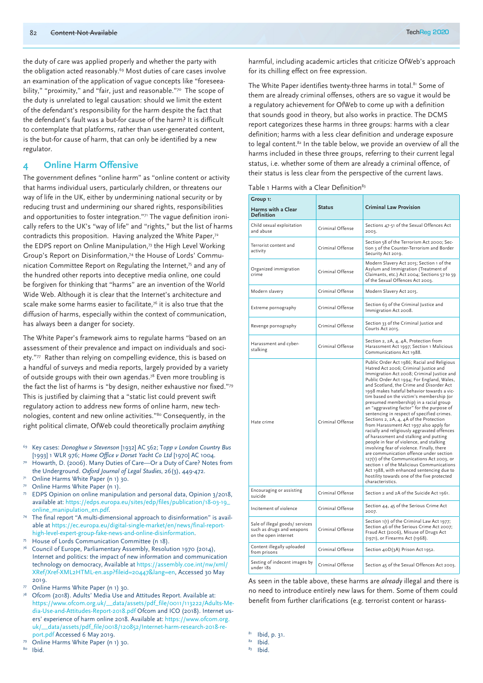the duty of care was applied properly and whether the party with the obligation acted reasonably.<sup>69</sup> Most duties of care cases involve an examination of the application of vague concepts like "foreseeability," "proximity," and "fair, just and reasonable."<sup>70</sup> The scope of the duty is unrelated to legal causation: should we limit the extent of the defendant's responsibility for the harm despite the fact that the defendant's fault was a but-for cause of the harm? It is difficult to contemplate that platforms, rather than user-generated content, is the but-for cause of harm, that can only be identified by a new regulator.

## **4 Online Harm Offensive**

The government defines "online harm" as "online content or activity that harms individual users, particularly children, or threatens our way of life in the UK, either by undermining national security or by reducing trust and undermining our shared rights, responsibilities and opportunities to foster integration."<sup>71</sup> The vague definition ironically refers to the UK's "way of life" and "rights," but the list of harms contradicts this proposition. Having analyzed the White Paper,72 the EDPS report on Online Manipulation.<sup>73</sup> the High Level Working Group's Report on Disinformation,74 the House of Lords' Communication Committee Report on Regulating the Internet,<sup>75</sup> and any of the hundred other reports into deceptive media online, one could be forgiven for thinking that "harms" are an invention of the World Wide Web. Although it is clear that the Internet's architecture and scale make some harms easier to facilitate,<sup>76</sup> it is also true that the diffusion of harms, especially within the context of communication, has always been a danger for society.

The White Paper's framework aims to regulate harms "based on an assessment of their prevalence and impact on individuals and society."77 Rather than relying on compelling evidence, this is based on a handful of surveys and media reports, largely provided by a variety of outside groups with their own agendas.<sup>78</sup> Even more troubling is the fact the list of harms is "by design, neither exhaustive nor fixed."79 This is justified by claiming that a "static list could prevent swift regulatory action to address new forms of online harm, new technologies, content and new online activities."80 Consequently, in the right political climate, OfWeb could theoretically proclaim *anything*

- <sup>69</sup> Key cases: *Donoghue v Stevenson* [1932] AC 562; T*opp v London Country Bus* [1993] 1 WLR 976; *Home Office v Dorset Yacht Co Ltd* [1970] AC 1004.
- Howarth, D. (2006). Many Duties of Care—Or a Duty of Care? Notes from the Underground. *Oxford Journal of Legal Studies*, 26(3), 449-472.
- Online Harms White Paper (n 1) 30.
- Online Harms White Paper (n 1).
- EDPS Opinion on online manipulation and personal data, Opinion 3/2018, available at: https://edps.europa.eu/sites/edp/files/publication/18-03-19\_
- online\_manipulation\_en.pdf. 74 The final report "A multi-dimensional approach to disinformation" is available at https://ec.europa.eu/digital-single-market/en/news/final-reporthigh-level-expert-group-fake-news-and-online-disinformation. 75 House of Lords Communication Committee (n 18).
- 
- <sup>76</sup> Council of Europe, Parliamentary Assembly, Resolution 1970 (2014), Internet and politics: the impact of new information and communication technology on democracy, Available at https://assembly.coe.int/nw/xml/ XRef/Xref-XML2HTML-en.asp?fileid=20447&lang=en, Accessed 30 May 2019.
- Online Harms White Paper (n 1) 30.
- Ofcom (2018). Adults' Media Use and Attitudes Report. Available at: https://www.ofcom.org.uk/\_\_data/assets/pdf\_file/0011/113222/Adults-Media-Use-and-Attitudes-Report-2018.pdf Ofcom and ICO (2018). Internet users' experience of harm online 2018. Available at: https://www.ofcom.org. uk/\_\_data/assets/pdf\_file/0018/120852/Internet-harm-research-2018-report.pdf Accessed 6 May 2019.
- Online Harms White Paper (n 1) 30.

<sup>80</sup> Ibid.

harmful, including academic articles that criticize OfWeb's approach for its chilling effect on free expression.

The White Paper identifies twenty-three harms in total.<sup>81</sup> Some of them are already criminal offenses, others are so vague it would be a regulatory achievement for OfWeb to come up with a definition that sounds good in theory, but also works in practice. The DCMS report categorizes these harms in three groups: harms with a clear definition; harms with a less clear definition and underage exposure to legal content.<sup>82</sup> In the table below, we provide an overview of all the harms included in these three groups, referring to their current legal status, i.e. whether some of them are already a criminal offence, of their status is less clear from the perspective of the current laws.

|  |  |  |  | Table 1 Harms with a Clear Definition <sup>83</sup> |
|--|--|--|--|-----------------------------------------------------|
|--|--|--|--|-----------------------------------------------------|

| Group 1:<br><b>Harms with a Clear</b><br><b>Definition</b>                           | <b>Status</b>    | <b>Criminal Law Provision</b>                                                                                                                                                                                                                                                                                                                                                                                                                                                                                                                                                                                                                                                                                                                                                                                                                                                                                                                                                               |
|--------------------------------------------------------------------------------------|------------------|---------------------------------------------------------------------------------------------------------------------------------------------------------------------------------------------------------------------------------------------------------------------------------------------------------------------------------------------------------------------------------------------------------------------------------------------------------------------------------------------------------------------------------------------------------------------------------------------------------------------------------------------------------------------------------------------------------------------------------------------------------------------------------------------------------------------------------------------------------------------------------------------------------------------------------------------------------------------------------------------|
| Child sexual exploitation<br>and abuse                                               | Criminal Offense | Sections 47-51 of the Sexual Offences Act<br>2003.                                                                                                                                                                                                                                                                                                                                                                                                                                                                                                                                                                                                                                                                                                                                                                                                                                                                                                                                          |
| Terrorist content and<br>activity                                                    | Criminal Offense | Section 58 of the Terrorism Act 2000; Sec-<br>tion 3 of the Counter-Terrorism and Border<br>Security Act 2019.                                                                                                                                                                                                                                                                                                                                                                                                                                                                                                                                                                                                                                                                                                                                                                                                                                                                              |
| Organized immigration<br>crime                                                       | Criminal Offense | Modern Slavery Act 2015; Section 1 of the<br>Asylum and Immigration (Treatment of<br>Claimants, etc.) Act 2004; Sections 57 to 59<br>of the Sexual Offences Act 2003.                                                                                                                                                                                                                                                                                                                                                                                                                                                                                                                                                                                                                                                                                                                                                                                                                       |
| Modern slavery                                                                       | Criminal Offense | Modern Slavery Act 2015.                                                                                                                                                                                                                                                                                                                                                                                                                                                                                                                                                                                                                                                                                                                                                                                                                                                                                                                                                                    |
| Extreme pornography                                                                  | Criminal Offense | Section 63 of the Criminal Justice and<br>Immigration Act 2008.                                                                                                                                                                                                                                                                                                                                                                                                                                                                                                                                                                                                                                                                                                                                                                                                                                                                                                                             |
| Revenge pornography                                                                  | Criminal Offense | Section 33 of the Criminal Justice and<br>Courts Act 2015.                                                                                                                                                                                                                                                                                                                                                                                                                                                                                                                                                                                                                                                                                                                                                                                                                                                                                                                                  |
| Harassment and cyber-<br>stalking                                                    | Criminal Offense | Section 2, 2A, 4, 4A, Protection from<br>Harassment Act 1997; Section 1 Malicious<br>Communications Act 1988.                                                                                                                                                                                                                                                                                                                                                                                                                                                                                                                                                                                                                                                                                                                                                                                                                                                                               |
| Hate crime                                                                           | Criminal Offense | Public Order Act 1986; Racial and Religious<br>Hatred Act 2006; Criminal Justice and<br>Immigration Act 2008; Criminal Justice and<br>Public Order Act 1994; For England, Wales,<br>and Scotland, the Crime and Disorder Act<br>1998 makes hateful behavior towards a vic-<br>tim based on the victim's membership (or<br>presumed membership) in a racial group<br>an "aggravating factor" for the purpose of<br>sentencing in respect of specified crimes.<br>Sections 2, 2A, 4, 4A of the Protection<br>from Harassment Act 1997 also apply for<br>racially and religiously aggravated offences<br>of harassment and stalking and putting<br>people in fear of violence, and stalking<br>involving fear of violence. Finally, there<br>are communication offence under section<br>127(1) of the Communications Act 2003, or<br>section 1 of the Malicious Communications<br>Act 1988, with enhanced sentencing due to<br>hostility towards one of the five protected<br>characteristics. |
| Encouraging or assisting<br>suicide                                                  | Criminal Offense | Section 2 and 2A of the Suicide Act 1961.                                                                                                                                                                                                                                                                                                                                                                                                                                                                                                                                                                                                                                                                                                                                                                                                                                                                                                                                                   |
| Incitement of violence                                                               | Criminal Offense | Section 44, 45 of the Serious Crime Act<br>2007.                                                                                                                                                                                                                                                                                                                                                                                                                                                                                                                                                                                                                                                                                                                                                                                                                                                                                                                                            |
| Sale of illegal goods/ services<br>such as drugs and weapons<br>on the open internet | Criminal Offense | Section 1(1) of the Criminal Law Act 1977;<br>Section 46 of the Serious Crime Act 2007;<br>Fraud Act (2006), Misuse of Drugs Act<br>(1971), or Firearms Act (1968).                                                                                                                                                                                                                                                                                                                                                                                                                                                                                                                                                                                                                                                                                                                                                                                                                         |
| Content illegally uploaded<br>from prisons                                           | Criminal Offense | Section 40D(3A) Prison Act 1952.                                                                                                                                                                                                                                                                                                                                                                                                                                                                                                                                                                                                                                                                                                                                                                                                                                                                                                                                                            |
| Sexting of indecent images by<br>under 18s                                           | Criminal Offense | Section 45 of the Sexual Offences Act 2003.                                                                                                                                                                                                                                                                                                                                                                                                                                                                                                                                                                                                                                                                                                                                                                                                                                                                                                                                                 |

As seen in the table above, these harms are *already* illegal and there is no need to introduce entirely new laws for them. Some of them could benefit from further clarifications (e.g. terrorist content or harass-

 $\begin{array}{c} 81 \\ 82 \\ 1 \end{array}$  Ibid.<br>  $\begin{array}{c} 83 \\ 1 \end{array}$  Ibid.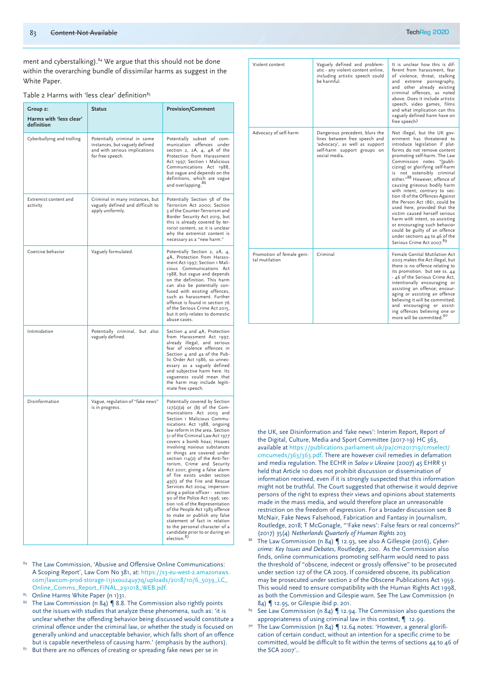ment and cyberstalking).<sup>84</sup> We argue that this should not be done within the overarching bundle of dissimilar harms as suggest in the White Paper.

| Table 2 Harms with 'less clear' definition <sup>85</sup> |  |  |
|----------------------------------------------------------|--|--|
|----------------------------------------------------------|--|--|

| Group 2:<br>Harms with 'less clear' | <b>Status</b>                                                                                                       | <b>Provision/Comment</b>                                                                                                                                                                                                                                                                                                                                                                                                                                                                                                                                                                                                                                                                                                                                                                                                                  |
|-------------------------------------|---------------------------------------------------------------------------------------------------------------------|-------------------------------------------------------------------------------------------------------------------------------------------------------------------------------------------------------------------------------------------------------------------------------------------------------------------------------------------------------------------------------------------------------------------------------------------------------------------------------------------------------------------------------------------------------------------------------------------------------------------------------------------------------------------------------------------------------------------------------------------------------------------------------------------------------------------------------------------|
| definition                          |                                                                                                                     |                                                                                                                                                                                                                                                                                                                                                                                                                                                                                                                                                                                                                                                                                                                                                                                                                                           |
| Cyberbullying and trolling          | Potentially criminal in some<br>instances, but vaguely defined<br>and with serious implications<br>for free speech. | Potentially subset of com-<br>munication offences under<br>section 2, 2A, 4, 4A of the<br>Protection from Harassment<br>Act 1997; Section 1 Malicious<br>Communications Act 1988,<br>but vague and depends on the<br>definitions, which are vague<br>and overlapping. 86                                                                                                                                                                                                                                                                                                                                                                                                                                                                                                                                                                  |
| Extremist content and<br>activity   | Criminal in many instances, but<br>vaguely defined and difficult to<br>apply uniformly.                             | Potentially Section 58 of the<br>Terrorism Act 2000; Section<br>3 of the Counter-Terrorism and<br>Border Security Act 2019, but<br>this is already covered by ter-<br>rorist content, so it is unclear<br>why the extremist content is<br>necessary as a "new harm."                                                                                                                                                                                                                                                                                                                                                                                                                                                                                                                                                                      |
| Coercive behavior                   | Vaguely formulated.                                                                                                 | Potentially Section 2, 2A, 4,<br>4A, Protection from Harass-<br>ment Act 1997; Section 1 Mali-<br>cious Communications Act<br>1988, but vague and depends<br>on the definition. This harm<br>can also be potentially con-<br>fused with existing offences,<br>such as harassment. Further<br>offence is found in section 76<br>of the Serious Crime Act 2015,<br>but it only relates to domestic<br>abuse cases.                                                                                                                                                                                                                                                                                                                                                                                                                          |
| Intimidation                        | Potentially criminal, but also<br>vaguely defined.                                                                  | Section 4 and 4A, Protection<br>from Harassment Act 1997,<br>already illegal, and serious<br>fear of violence offences in<br>Section 4 and 4a of the Pub-<br>lic Order Act 1986, so unnec-<br>essary as a vaguely defined<br>and subjective harm here. Its<br>vagueness could mean that<br>the harm may include legiti-<br>mate free speech.                                                                                                                                                                                                                                                                                                                                                                                                                                                                                              |
| Disinformation                      | Vague, regulation of "fake news"<br>is in progress.                                                                 | Potentially covered by Section<br>127(2)(a) or (b) of the Com-<br>munications Act 2003 and<br>Section 1 Malicious Commu-<br>nications Act 1988, ongoing<br>law reform in the area. Section<br>51 of the Criminal Law Act 1977<br>covers a bomb hoax; Hoaxes<br>involving noxious substances<br>or things are covered under<br>section 114(2) of the Anti-Ter-<br>rorism, Crime and Security<br>Act 2001; giving a false alarm<br>of fire exists under section<br>49(1) of the Fire and Rescue<br>Services Act 2004; imperson-<br>ating a police officer - section<br>90 of the Police Act 1996; sec-<br>tion 106 of the Representation<br>of the People Act 1983 offence<br>to make or publish any false<br>statement of fact in relation<br>to the personal character of a<br>candidate prior to or during an<br>election. <sup>87</sup> |

- The Law Commission, 'Abusive and Offensive Online Communications: A Scoping Report', Law Com No 381, at: https://s3-eu-west-2.amazonaws. com/lawcom-prod-storage-11jsxou24uy7q/uploads/2018/10/6\_5039\_LC\_ Online\_Comms\_Report\_FINAL\_291018\_WEB.pdf.
- 
- Online Harms White Paper (n 1)31.<br>The Law Commission (n 84) ¶ 8.8. The Commission also rightly points out the issues with studies that analyze these phenomena, such as: 'it is unclear whether the offending behavior being discussed would constitute a criminal offence under the criminal law, or whether the study is focused on generally unkind and unacceptable behavior, which falls short of an offence but is capable nevertheless of causing harm.' (emphasis by the authors).
- 87 But there are no offences of creating or spreading fake news per se in

| Violent content                             | Vaguely defined and problem-<br>atic - any violent content online,<br>including artistic speech could<br>be harmful.                              | It is unclear how this is dif-<br>ferent from harassment, fear<br>of violence, threat, stalking<br>extreme pornography,<br>and<br>and other already existing<br>criminal offences, as noted<br>above. Does it include artistic<br>speech, video games, films<br>and what implication can this<br>vaguely defined harm have on<br>free speech?                                                                                                                                                                                                                                                                                                                                                 |
|---------------------------------------------|---------------------------------------------------------------------------------------------------------------------------------------------------|-----------------------------------------------------------------------------------------------------------------------------------------------------------------------------------------------------------------------------------------------------------------------------------------------------------------------------------------------------------------------------------------------------------------------------------------------------------------------------------------------------------------------------------------------------------------------------------------------------------------------------------------------------------------------------------------------|
| Advocacy of self-harm                       | Dangerous precedent, blurs the<br>lines between free speech and<br>'advocacy', as well as support<br>self-harm support groups on<br>social media. | Not illegal, but the UK gov-<br>ernment has threatened to<br>introduce legislation if plat-<br>forms do not remove content<br>promoting self-harm. The Law<br>Commission notes "[publi-<br>cizing] or glorifying self-harm<br>not ostensibly criminal<br>is<br>either." <sup>88</sup> However, offence of<br>causing grievous bodily harm<br>with intent, contrary to sec-<br>tion 18 of the Offences Against<br>the Person Act 1861, could be<br>used here, provided that the<br>victim caused herself serious<br>harm with intent, so assisting<br>or encouraging such behavior<br>could be guilty of an offence<br>under sections 44 to 46 of the<br>Serious Crime Act 2007. <sup>89</sup> |
| Promotion of female geni-<br>tal mutilation | Criminal                                                                                                                                          | Female Genital Mutilation Act<br>2003 makes the Act illegal, but<br>there is no offence relating to<br>its promotion. but see ss. 44<br>- 46 of the Serious Crime Act,<br>intentionally encouraging or<br>assisting an offence; encour-<br>aging or assisting an offence<br>believing it will be committed;<br>and encouraging or assist-<br>ing offences believing one or<br>more will be committed. <sup>90</sup>                                                                                                                                                                                                                                                                           |

the UK, see Disinformation and 'fake news': Interim Report, Report of the Digital, Culture, Media and Sport Committee (2017-19) HC 363, available at https://publications.parliament.uk/pa/cm201719/cmselect/ cmcumeds/363/363.pdf. There are however civil remedies in defamation and media regulation. The ECHR in *Salov v Ukraine* (2007) 45 EHRR 51 held that Article 10 does not prohibit discussion or dissemination of information received, even if it is strongly suspected that this information might not be truthful. The Court suggested that otherwise it would deprive persons of the right to express their views and opinions about statements made in the mass media, and would therefore place an unreasonable restriction on the freedom of expression. For a broader discussion see B McNair, Fake News Falsehood, Fabrication and Fantasy in Journalism, Routledge, 2018; T McGonagle, "'Fake news': False fears or real concerns?" (2017) 35(4) *Netherlands Quarterly of Human Rights* 203

- <sup>88</sup> The Law Commission (n 84) ¶ 12.93, see also A Gillespie (2016), *Cybercrime: Key Issues and Debates*, Routledge, 200. As the Commission also finds, online communications promoting self-harm would need to pass the threshold of "obscene, indecent or grossly offensive" to be prosecuted under section 127 of the CA 2003. If considered obscene, its publication may be prosecuted under section 2 of the Obscene Publications Act 1959. This would need to ensure compatibility with the Human Rights Act 1998, as both the Commission and Gilespie warn. See The Law Commission (n 84) ¶ 12.95, or Gilespie ibid p. 201.
- See Law Commission (n 84)  $\P$  12.94. The Commission also questions the appropriateness of using criminal law in this context, ¶ 12.99.
- The Law Commission (n 84) | 12.64 notes: 'However, a general glorification of certain conduct, without an intention for a specific crime to be committed, would be difficult to fit within the terms of sections 44 to 46 of the SCA 2007'..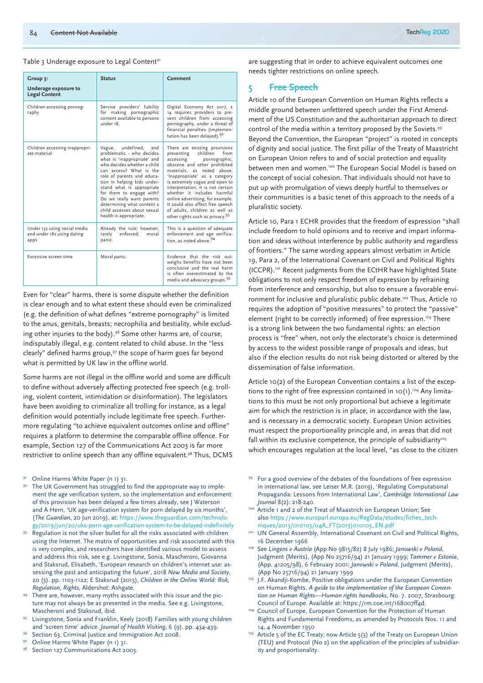#### Table 3 Underage exposure to Legal Content<sup>91</sup>

| Group 3:<br>Underage exposure to<br><b>Legal Content</b>           | <b>Status</b>                                                                                                                                                                                                                                                                                                                                                                               | Comment                                                                                                                                                                                                                                                                                                                                                                                                                                                     |
|--------------------------------------------------------------------|---------------------------------------------------------------------------------------------------------------------------------------------------------------------------------------------------------------------------------------------------------------------------------------------------------------------------------------------------------------------------------------------|-------------------------------------------------------------------------------------------------------------------------------------------------------------------------------------------------------------------------------------------------------------------------------------------------------------------------------------------------------------------------------------------------------------------------------------------------------------|
| Children accessing pornog-<br>raphy                                | Service providers' liability<br>for making pornographic<br>content available to persons<br>under 18.                                                                                                                                                                                                                                                                                        | Digital Economy Act 2017, s<br>14 requires providers to pre-<br>vent children from accessing<br>pornography, under a threat of<br>financial penalties (implemen-<br>tation has been delayed). <sup>92</sup>                                                                                                                                                                                                                                                 |
| Children accessing inappropri-<br>ate material                     | undefined,<br>Vague,<br>and<br>problematic - who decides<br>what is 'inappropriate' and<br>who decides whether a child<br>can access? What is the<br>role of parents and educa-<br>tion in helping kids under-<br>stand what is appropriate<br>for them to engage with?<br>Do we really want parents<br>determining what content a<br>child accesses about sexual<br>health is appropriate. | There are existing provisions<br>children<br>from<br>preventing<br>pornographic,<br>accessing<br>obscene and other prohibited<br>materials, as noted above.<br>'Inappropriate' as a category<br>is extremely vague and open to<br>interpretation, it is not certain<br>whether it includes harmful<br>online advertising, for example.<br>It could also affect free speech<br>of adults, children as well as<br>other rights such as privacy. <sup>93</sup> |
| Under 13s using social media<br>and under 18s using dating<br>apps | Already the rule; however,<br>enforced;<br>rarely<br>moral<br>panic.                                                                                                                                                                                                                                                                                                                        | This is a question of adequate<br>enforcement and age verifica-<br>tion, as noted above. <sup>94</sup>                                                                                                                                                                                                                                                                                                                                                      |
| Excessive screen time                                              | Moral panic.                                                                                                                                                                                                                                                                                                                                                                                | Evidence that the risk out-<br>weighs benefits have not been<br>conclusive and the real harm<br>is often overestimated by the<br>media and advocacy groups. <sup>95</sup>                                                                                                                                                                                                                                                                                   |

Even for "clear" harms, there is some dispute whether the definition is clear enough and to what extent these should even be criminalized (e.g. the definition of what defines "extreme pornography" is limited to the anus, genitals, breasts; necrophilia and bestiality, while excluding other injuries to the body).<sup>96</sup> Some other harms are, of course, indisputably illegal, e.g. content related to child abuse. In the "less clearly" defined harms group,<sup>97</sup> the scope of harm goes far beyond what is permitted by UK law in the offline world.

Some harms are not illegal in the offline world and some are difficult to define without adversely affecting protected free speech (e.g. trolling, violent content, intimidation or disinformation). The legislators have been avoiding to criminalize all trolling for instance, as a legal definition would potentially include legitimate free speech. Furthermore regulating "to achieve equivalent outcomes online and offline" requires a platform to determine the comparable offline offence. For example, Section 127 of the Communications Act 2003 is far more restrictive to online speech than any offline equivalent.<sup>98</sup> Thus, DCMS

- Online Harms White Paper (n 1) 31.<br>The UK Government has struggled to find the appropriate way to implement the age verification system, so the implementation and enforcement of this provision has been delayed a few times already, see J Waterson and A Hern, 'UK age-verification system for porn delayed by six months', (*The Guardian*, 20 Jun 2019), at: https://www.theguardian.com/technolo-
- $gg/2$ 019/jun/20/uks-porn-age-verification-system-to-be-delayed-indefinitely Regulation is not the silver bullet for all the risks associated with children using the Internet. The matrix of opportunities and risk associated with this is very complex, and researchers have identified various model to assess and address this risk, see e.g. Livingstone, Sonia, Mascheroni, Giovanna and Staksrud, Elisabeth, 'European research on children's internet use: assessing the past and anticipating the future', 2018 *New Media and Society*, 20 (3). pp. 1103-1122; E Staksrud (2013), *Children in the Online World: Risk, Regulation, Rights*, Aldershot: Ashgate.
- There are, however, many myths associated with this issue and the picture may not always be as presented in the media. See e.g. Livingstone, Mascheroni and Staksrud, ibid.
- <sup>95</sup> Livingstone, Sonia and Franklin, Keely (2018) Families with young children and 'screen time' advice. *Journal of Health Visiting*, 6 (9). pp. 434-439.
- Section 63. Criminal Justice and Immigration Act 2008.<br>Online Harms White Paper (n 1) 31.<br>Section 127 Communications Act 2003.
- 
- 

are suggesting that in order to achieve equivalent outcomes one needs tighter restrictions on online speech.

#### **5 Free Speech**

Article 10 of the European Convention on Human Rights reflects a middle ground between unfettered speech under the First Amendment of the US Constitution and the authoritarian approach to direct control of the media within a territory proposed by the Soviets.99 Beyond the Convention, the European "project" is rooted in concepts of dignity and social justice. The first pillar of the Treaty of Maastricht on European Union refers to and of social protection and equality between men and women.100 The European Social Model is based on the concept of social cohesion. That individuals should not have to put up with promulgation of views deeply hurtful to themselves or their communities is a basic tenet of this approach to the needs of a pluralistic society.

Article 10, Para 1 ECHR provides that the freedom of expression "shall include freedom to hold opinions and to receive and impart information and ideas without interference by public authority and regardless of frontiers." The same wording appears almost verbatim in Article 19, Para 2, of the International Covenant on Civil and Political Rights (ICCPR).101 Recent judgments from the ECtHR have highlighted State obligations to not only respect freedom of expression by refraining from interference and censorship, but also to ensure a favorable environment for inclusive and pluralistic public debate.<sup>102</sup> Thus, Article 10 requires the adoption of "positive measures" to protect the "passive" element (right to be correctly informed) of free expression.<sup>103</sup> There is a strong link between the two fundamental rights: an election process is "free" when, not only the electorate's choice is determined by access to the widest possible range of proposals and ideas, but also if the election results do not risk being distorted or altered by the dissemination of false information.

Article 10(2) of the European Convention contains a list of the exceptions to the right of free expression contained in 10(1).<sup>104</sup> Any limitations to this must be not only proportional but achieve a legitimate aim for which the restriction is in place, in accordance with the law, and is necessary in a democratic society. European Union activities must respect the proportionality principle and, in areas that did not fall within its exclusive competence, the principle of subsidiarity<sup>105</sup> which encourages regulation at the local level, "as close to the citizen

- 99 For a good overview of the debates of the foundations of free expression in international law, see Leiser M.R. (2019), 'Regulating Computational Propaganda: Lessons from International Law', *Cambridge International Law Journal* 8(2): 218-240.
- 100 Article 1 and 2 of the Treat of Maastrich on European Union; See also https://www.europarl.europa.eu/RegData/etudes/fiches\_techniques/2013/010103/04A\_FT(2013)010103\_EN.pdf
- <sup>101</sup> UN General Assembly, International Covenant on Civil and Political Rights, 16 December 1966
- <sup>102</sup> See *Lingens v Austria* (App No 9815/82) 8 July 1986; *Janowski v Poland*, Judgment (Merits), (App No 25716/94) 21 January 1999; *Tammer v Estonia*, (App. 41205/98), 6 February 2001; *Janowski v Poland*, Judgment (Merits), (App No 25716/94) 21 January 1999
- 103 J.F. Akandji-Kombe, Positive obligations under the European Convention on Human Rights. *A guide to the implementation of the European Convention on Human Rights—Human rights handbooks*, No. 7. 2007, Strasbourg: Council of Europe. Available at: https://rm.coe.int/168007ff4d. 104 Council of Europe, European Convention for the Protection of Human
- Rights and Fundamental Freedoms, as amended by Protocols Nos. 11 and 14, 4 November 1950
- 105 Article 5 of the EC Treaty; now Article 5(3) of the Treaty on European Union (TEU) and Protocol (No 2) on the application of the principles of subsidiarity and proportionality.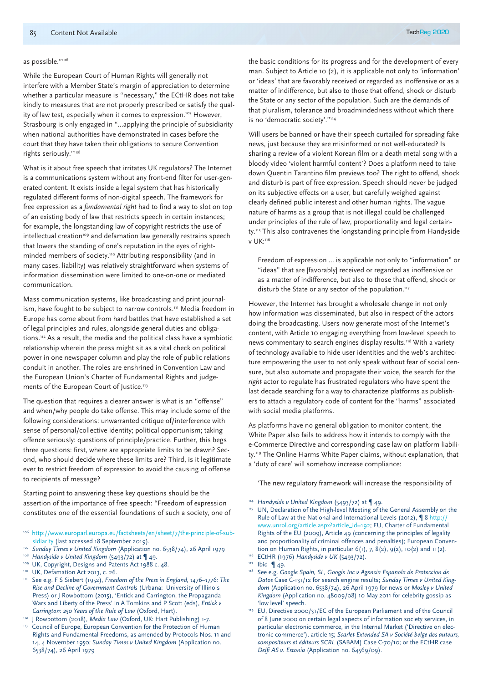#### as possible."106

While the European Court of Human Rights will generally not interfere with a Member State's margin of appreciation to determine whether a particular measure is "necessary," the ECtHR does not take kindly to measures that are not properly prescribed or satisfy the quality of law test, especially when it comes to expression.<sup>107</sup> However, Strasbourg is only engaged in "…applying the principle of subsidiarity when national authorities have demonstrated in cases before the court that they have taken their obligations to secure Convention rights seriously."108

What is it about free speech that irritates UK regulators? The Internet is a communications system without any front-end filter for user-generated content. It exists inside a legal system that has historically regulated different forms of non-digital speech. The framework for free expression as a *fundamental right* had to find a way to slot on top of an existing body of law that restricts speech in certain instances; for example, the longstanding law of copyright restricts the use of  $intellectual creation<sup>109</sup>$  and defamation law generally restrains speech that lowers the standing of one's reputation in the eyes of rightminded members of society.<sup>110</sup> Attributing responsibility (and in many cases, liability) was relatively straightforward when systems of information dissemination were limited to one-on-one or mediated communication.

Mass communication systems, like broadcasting and print journalism, have fought to be subject to narrow controls.<sup>111</sup> Media freedom in Europe has come about from hard battles that have established a set of legal principles and rules, alongside general duties and obligations.112 As a result, the media and the political class have a symbiotic relationship wherein the press might sit as a vital check on political power in one newspaper column and play the role of public relations conduit in another. The roles are enshrined in Convention Law and the European Union's Charter of Fundamental Rights and judgements of the European Court of Justice.<sup>113</sup>

The question that requires a clearer answer is what is an "offense" and when/why people do take offense. This may include some of the following considerations: unwarranted critique of/interference with sense of personal/collective identity; political opportunism; taking offence seriously: questions of principle/practice. Further, this begs three questions: first, where are appropriate limits to be drawn? Second, who should decide where these limits are? Third, is it legitimate ever to restrict freedom of expression to avoid the causing of offense to recipients of message?

Starting point to answering these key questions should be the assertion of the importance of free speech: "Freedom of expression constitutes one of the essential foundations of such a society, one of

- <sup>106</sup> http://www.europarl.europa.eu/factsheets/en/sheet/7/the-principle-of-subsidiarity (last accessed 18 September 2019). 107 *Sunday Times v United Kingdom* (Application no. 6538/74), 26 April 1979
- 
- <sup>108</sup> *Handyside v United Kingdom* (5493/72) at ¶ 49.
- 109 UK, Copyright, Designs and Patents Act 1988 c. 48.
- <sup>110</sup> UK, Defamation Act 2013, c. 26.
- <sup>111</sup> See e.g. F S Siebert (1952), *Freedom of the Press in England*, 1476–1776: The *Rise and Decline of Government Controls* (Urbana: University of Illinois Press) or J Rowbottom (2015), 'Entick and Carrington, the Propaganda Wars and Liberty of the Press' in A Tomkins and P Scott (eds), *Entick v Carrington: 250 Years of the Rule of Law* (Oxford, Hart).
- <sup>112</sup> J Rowbottom (2018), *Media Law* (Oxford, UK: Hart Publishing) 1-7. <sup>113</sup> Council of Europe, European Convention for the Protection of Human
- Rights and Fundamental Freedoms, as amended by Protocols Nos. 11 and 14, 4 November 1950; S*unday Times v United Kingdom* (Application no. 6538/74), 26 April 1979

the basic conditions for its progress and for the development of every man. Subject to Article 10 (2), it is applicable not only to 'information' or 'ideas' that are favorably received or regarded as inoffensive or as a matter of indifference, but also to those that offend, shock or disturb the State or any sector of the population. Such are the demands of that pluralism, tolerance and broadmindedness without which there is no 'democratic society'."114

Will users be banned or have their speech curtailed for spreading fake news, just because they are misinformed or not well-educated? Is sharing a review of a violent Korean film or a death metal song with a bloody video 'violent harmful content'? Does a platform need to take down Quentin Tarantino film previews too? The right to offend, shock and disturb is part of free expression. Speech should never be judged on its subjective effects on a user, but carefully weighed against clearly defined public interest and other human rights. The vague nature of harms as a group that is not illegal could be challenged under principles of the rule of law, proportionality and legal certainty.<sup>115</sup> This also contravenes the longstanding principle from Handyside v UK:116

Freedom of expression … is applicable not only to "information" or "ideas" that are [favorably] received or regarded as inoffensive or as a matter of indifference, but also to those that offend, shock or disturb the State or any sector of the population.<sup>117</sup>

However, the Internet has brought a wholesale change in not only how information was disseminated, but also in respect of the actors doing the broadcasting. Users now generate most of the Internet's content, with Article 10 engaging everything from low-level speech to news commentary to search engines display results.<sup>118</sup> With a variety of technology available to hide user identities and the web's architecture empowering the user to not only speak without fear of social censure, but also automate and propagate their voice, the search for the *right* actor to regulate has frustrated regulators who have spent the last decade searching for a way to characterize platforms as publishers to attach a regulatory code of content for the "harms" associated with social media platforms.

As platforms have no general obligation to monitor content, the White Paper also fails to address how it intends to comply with the e-Commerce Directive and corresponding case law on platform liability.119 The Online Harms White Paper claims, without explanation, that a 'duty of care' will somehow increase compliance:

'The new regulatory framework will increase the responsibility of

<sup>114</sup> *Handyside v United Kingdom* (5493/72) at ¶ 49.

UN, Declaration of the High-level Meeting of the General Assembly on the Rule of Law at the National and International Levels (2012), ¶ 8 http:// www.unrol.org/article.aspx?article\_id=192; EU, Charter of Fundamental Rights of the EU (2009), Article 49 (concerning the principles of legality and proportionality of criminal offences and penalties); European Convention on Human Rights, in particular 6(1), 7, 8(2), 9(2), 10(2) and 11(2). 116 ECtHR (1976) *Handyside v UK* (5493/72).

- <sup>118</sup> See e.g. *Google Spain, SL, Google Inc v Agencia Espanola de Proteccion de Datos* Case C-131/12 for search engine results; *Sunday Times v United Kingdom* (Application no. 6538/74), 26 April 1979 for news or *Mosley v United Kingdom* (Application no. 48009/08) 10 May 2011 for celebrity gossip as 'low level' speech. 119 EU, Directive 2000/31/EC of the European Parliament and of the Council
- of 8 June 2000 on certain legal aspects of information society services, in particular electronic commerce, in the Internal Market ('Directive on electronic commerce'), article 15; *Scarlet Extended SA v Société belge des auteurs, compositeurs et éditeurs SCRL* (SABAM) Case C-70/10; or the ECtHR case *Delfi AS v. Estonia* (Application no. 64569/09).

<sup>117</sup> Ibid ¶ 49.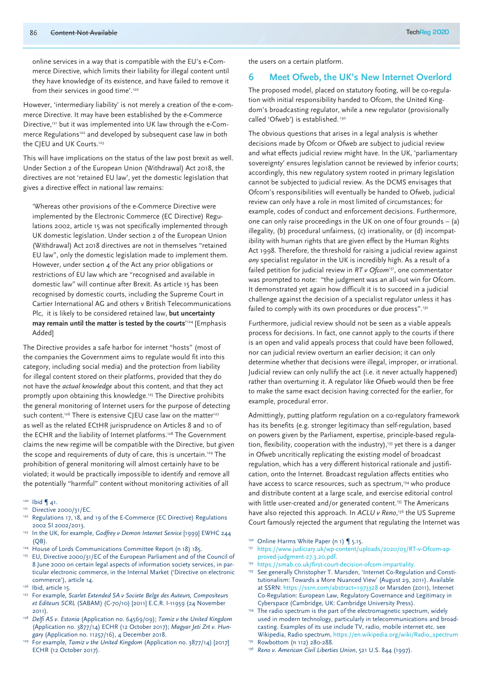online services in a way that is compatible with the EU's e-Commerce Directive, which limits their liability for illegal content until they have knowledge of its existence, and have failed to remove it from their services in good time'.120

However, 'intermediary liability' is not merely a creation of the e-commerce Directive. It may have been established by the e-Commerce Directive,<sup>121</sup> but it was implemented into UK law through the e-Commerce Regulations<sup>122</sup> and developed by subsequent case law in both the CJEU and UK Courts.<sup>123</sup>

This will have implications on the status of the law post brexit as well. Under Section 2 of the European Union (Withdrawal) Act 2018, the directives are not 'retained EU law', yet the domestic legislation that gives a directive effect in national law remains:

'Whereas other provisions of the e-Commerce Directive were implemented by the Electronic Commerce (EC Directive) Regulations 2002, article 15 was not specifically implemented through UK domestic legislation. Under section 2 of the European Union (Withdrawal) Act 2018 directives are not in themselves "retained EU law", only the domestic legislation made to implement them. However, under section 4 of the Act any prior obligations or restrictions of EU law which are "recognised and available in domestic law" will continue after Brexit. As article 15 has been recognised by domestic courts, including the Supreme Court in Cartier International AG and others v British Telecommunications Plc, it is likely to be considered retained law, **but uncertainty may remain until the matter is tested by the courts**' 124 [Emphasis Added]

The Directive provides a safe harbor for internet "hosts" (most of the companies the Government aims to regulate would fit into this category, including social media) and the protection from liability for illegal content stored on their platforms, provided that they do not have the *actual knowledge* about this content, and that they act promptly upon obtaining this knowledge.125 The Directive prohibits the general monitoring of Internet users for the purpose of detecting such content.<sup>126</sup> There is extensive CJEU case law on the matter<sup>127</sup> as well as the related ECtHR jurisprudence on Articles 8 and 10 of the ECHR and the liability of Internet platforms.<sup>128</sup> The Government claims the new regime will be compatible with the Directive, but given the scope and requirements of duty of care, this is uncertain.<sup>129</sup> The prohibition of general monitoring will almost certainly have to be violated; it would be practically impossible to identify and remove all the potentially "harmful" content without monitoring activities of all

- $120$  Ibid  $\P$  41.
- <sup>121</sup> Directive 2000/31/EC.
- 122 Regulations 17, 18, and 19 of the E-Commerce (EC Directive) Regulations 2002 SI 2002/2013.
- <sup>123</sup> In the UK, for example, *Godfrey v Demon Internet Service* [1999] EWHC 244  $(OB)$ .
- <sup>124</sup> House of Lords Communications Committee Report (n 18) 185.
- <sup>125</sup> EU, Directive 2000/31/EC of the European Parliament and of the Council of 8 June 2000 on certain legal aspects of information society services, in particular electronic commerce, in the Internal Market ('Directive on electronic commerce'), article 14.
- 126 Ibid, article 15.
- <sup>127</sup> For example, *Scarlet Extended SA v Societe Belge des Auteurs*, Compositeurs *et Editeurs SCRL* (SABAM) (C-70/10) [2011] E.C.R. I-11959 (24 November 2011).
- <sup>128</sup> *Delfi AS v. Estonia* (Application no. 64569/09); *Tamiz v the United Kingdom* (Application no. 3877/14) ECHR (12 October 2017); *Magyar Jeti Zrt v. Hungary* (Application no. 11257/16), 4 December 2018.
- <sup>129</sup> For example, *Tamiz v the United Kingdom* (Application no. 3877/14) [2017] ECHR (12 October 2017).

the users on a certain platform.

#### **6 Meet Ofweb, the UK's New Internet Overlord**

The proposed model, placed on statutory footing, will be co-regulation with initial responsibility handed to Ofcom, the United Kingdom's broadcasting regulator, while a new regulator (provisionally called 'Ofweb') is established. 130

The obvious questions that arises in a legal analysis is whether decisions made by Ofcom or Ofweb are subject to judicial review and what effects judicial review might have. In the UK, 'parliamentary sovereignty' ensures legislation cannot be reviewed by inferior courts; accordingly, this new regulatory system rooted in primary legislation cannot be subjected to judicial review. As the DCMS envisages that Ofcom's responsibilities will eventually be handed to Ofweb, judicial review can only have a role in most limited of circumstances; for example, codes of conduct and enforcement decisions. Furthermore, one can only raise proceedings in the UK on one of four grounds – (a) illegality, (b) procedural unfairness, (c) irrationality, or (d) incompatibility with human rights that are given effect by the Human Rights Act 1998. Therefore, the threshold for raising a judicial review against *any* specialist regulator in the UK is incredibly high. As a result of a failed petition for judicial review in *RT v Ofcom*131, one commentator was prompted to note: "the judgment was an all-out win for Ofcom. It demonstrated yet again how difficult it is to succeed in a judicial challenge against the decision of a specialist regulator unless it has failed to comply with its own procedures or due process".<sup>132</sup>

Furthermore, judicial review should not be seen as a viable appeals process for decisions. In fact, one cannot apply to the courts if there is an open and valid appeals process that could have been followed, nor can judicial review overturn an earlier decision; it can only determine whether that decisions were illegal, improper, or irrational. Judicial review can only nullify the act (i.e. it never actually happened) rather than overturning it. A regulator like Ofweb would then be free to make the same exact decision having corrected for the earlier, for example, procedural error.

Admittingly, putting platform regulation on a co-regulatory framework has its benefits (e.g. stronger legitimacy than self-regulation, based on powers given by the Parliament, expertise, principle-based regulation, flexibility, cooperation with the industry),<sup>133</sup> yet there is a danger in Ofweb uncritically replicating the existing model of broadcast regulation, which has a very different historical rationale and justification, onto the Internet. Broadcast regulation affects entities who have access to scarce resources, such as spectrum,<sup>134</sup> who produce and distribute content at a large scale, and exercise editorial control with little user-created and/or generated content.<sup>135</sup> The Americans have also rejected this approach. In *ACLU v Reno*, 136 the US Supreme Court famously rejected the argument that regulating the Internet was

- 130 Online Harms White Paper (n 1) | 5.15.
- <sup>131</sup> https://www.judiciary.uk/wp-content/uploads/2020/03/RT-v-Ofcom-approved-judgment-27.3.20.pdf.
- <sup>132</sup> https://smab.co.uk/first-court-decision-ofcom-impartiality.
- 133 See generally Christopher T. Marsden, 'Internet Co-Regulation and Constitutionalism: Towards a More Nuanced View' (August 29, 2011). Available at SSRN: https://ssrn.com/abstract=1973328 or Marsden (2011), Internet Co-Regulation: European Law, Regulatory Governance and Legitimacy in
- Cyberspace (Cambridge, UK: Cambridge University Press). 134 The radio spectrum is the part of the electromagnetic spectrum, widely used in modern technology, particularly in telecommunications and broadcasting. Examples of its use include TV, radio, mobile internet etc. see Wikipedia, Radio spectrum, https://en.wikipedia.org/wiki/Radio\_spectrum <sup>135</sup> Rowbottom (n 112) 280-288.
- <sup>136</sup> *Reno v. American Civil Liberties Union*, 521 U.S. 844 (1997).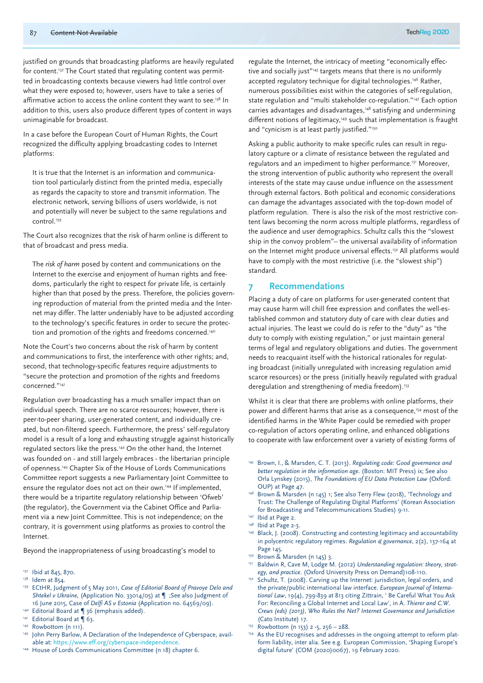justified on grounds that broadcasting platforms are heavily regulated for content.<sup>137</sup> The Court stated that regulating content was permitted in broadcasting contexts because viewers had little control over what they were exposed to; however, users have to take a series of affirmative action to access the online content they want to see.<sup>138</sup> In addition to this, users also produce different types of content in ways unimaginable for broadcast.

In a case before the European Court of Human Rights, the Court recognized the difficulty applying broadcasting codes to Internet platforms:

It is true that the Internet is an information and communication tool particularly distinct from the printed media, especially as regards the capacity to store and transmit information. The electronic network, serving billions of users worldwide, is not and potentially will never be subject to the same regulations and control.<sup>139</sup>

The Court also recognizes that the risk of harm online is different to that of broadcast and press media.

The *risk of harm* posed by content and communications on the Internet to the exercise and enjoyment of human rights and freedoms, particularly the right to respect for private life, is certainly higher than that posed by the press. Therefore, the policies governing reproduction of material from the printed media and the Internet may differ. The latter undeniably have to be adjusted according to the technology's specific features in order to secure the protection and promotion of the rights and freedoms concerned.<sup>140</sup>

Note the Court's two concerns about the risk of harm by content and communications to first, the interference with other rights; and, second, that technology-specific features require adjustments to "secure the protection and promotion of the rights and freedoms concerned."141

Regulation over broadcasting has a much smaller impact than on individual speech. There are no scarce resources; however, there is peer-to-peer sharing, user-generated content, and individually created, but non-filtered speech. Furthermore, the press' self-regulatory model is a result of a long and exhausting struggle against historically regulated sectors like the press.142 On the other hand, the Internet was founded on - and still largely embraces - the libertarian principle of openness.143 Chapter Six of the House of Lords Communications Committee report suggests a new Parliamentary Joint Committee to ensure the regulator does not act on their own.144 If implemented, there would be a tripartite regulatory relationship between 'Ofweb' (the regulator), the Government via the Cabinet Office and Parliament via a new Joint Committee. This is not independence; on the contrary, it is government using platforms as proxies to control the Internet.

Beyond the inappropriateness of using broadcasting's model to

- <sup>139</sup> ECtHR, Judgment of 5 May 2011, *Case of Editorial Board of Pravoye Delo and Shtekel v Ukraine,* (Application No. 33014/05) at ¶ ;See also Judgment of 16 June 2015, Case of *Delfi AS v Estonia* (Application no. 64569/09).
- 140 Editorial Board at | 36 (emphasis added).
- 141 Editorial Board at 163.
- <sup>142</sup> Rowbottom (n 111).
- 143 John Perry Barlow, A Declaration of the Independence of Cyberspace, available at: https://www.eff.org/cyberspace-independence.
- <sup>144</sup> House of Lords Communications Committee (n 18) chapter 6.

regulate the Internet, the intricacy of meeting "economically effective and socially just"<sup>145</sup> targets means that there is no uniformly accepted regulatory technique for digital technologies.<sup>146</sup> Rather, numerous possibilities exist within the categories of self-regulation, state regulation and "multi stakeholder co-regulation."<sup>147</sup> Each option carries advantages and disadvantages,<sup>148</sup> satisfying and undermining different notions of legitimacy,<sup>149</sup> such that implementation is fraught and "cynicism is at least partly justified."<sup>150</sup>

Asking a public authority to make specific rules can result in regulatory capture or a climate of resistance between the regulated and regulators and an impediment to higher performance.<sup>151</sup> Moreover, the strong intervention of public authority who represent the overall interests of the state may cause undue influence on the assessment through external factors. Both political and economic considerations can damage the advantages associated with the top-down model of platform regulation. There is also the risk of the most restrictive content laws becoming the norm across multiple platforms, regardless of the audience and user demographics. Schultz calls this the "slowest ship in the convoy problem"– the universal availability of information on the Internet might produce universal effects.<sup>152</sup> All platforms would have to comply with the most restrictive (i.e. the "slowest ship") standard.

#### **7 Recommendations**

Placing a duty of care on platforms for user-generated content that may cause harm will chill free expression and conflates the well-established common and statutory duty of care with clear duties and actual injuries. The least we could do is refer to the "duty" as "the duty to comply with existing regulation," or just maintain general terms of legal and regulatory obligations and duties. The government needs to reacquaint itself with the historical rationales for regulating broadcast (initially unregulated with increasing regulation amid scarce resources) or the press (initially heavily regulated with gradual deregulation and strengthening of media freedom).<sup>153</sup>

Whilst it is clear that there are problems with online platforms, their power and different harms that arise as a consequence,<sup>154</sup> most of the identified harms in the White Paper could be remedied with proper co-regulation of actors operating online, and enhanced obligations to cooperate with law enforcement over a variety of existing forms of

- <sup>145</sup> Brown, I., & Marsden, C. T. (2013). *Regulating code: Good governance and better regulation in the information age*. (Boston: MIT Press) ix; See also Orla Lynskey (2015), *The Foundations of EU Data Protection Law* (Oxford: OUP) at Page 47.
- <sup>146</sup> Brown & Marsden (n 145) 1; See also Terry Flew (2018), 'Technology and Trust: The Challenge of Regulating Digital Platforms' (Korean Association for Broadcasting and Telecommunications Studies) 9-11.

- 
- 149 Black, J. (2008). Constructing and contesting legitimacy and accountability in polycentric regulatory regimes. *Regulation & governance*, 2(2), 137-164 at Page 145.
- 150 Brown & Marsden (n 145) 3.
- <sup>151</sup> Baldwin R, Cave M, Lodge M. (2012) *Understanding regulation: theory, strategy, and practice*. (Oxford University Press on Demand)108-110.
- 152 Schultz, T. (2008). Carving up the Internet: jurisdiction, legal orders, and the private/public international law interface. *European Journal of International Law*, 19(4), 799-839 at 813 citing Zittrain, ' Be Careful What You Ask For: Reconciling a Global Internet and Local Law', in A. *Thierer and C.W. Crews (eds) (2013), Who Rules the Net? Internet Governance and Jurisdiction* (Cato Institute) 17.<br><sup>153</sup> Rowbottom (n 153) 2 -5, 256 – 288.
- 
- 154 As the EU recognises and addresses in the ongoing attempt to reform platform liability, inter alia. See e.g. European Commission, 'Shaping Europe's digital future' (COM (2020)0067), 19 February 2020.

<sup>137</sup> Ibid at 845, 870.

<sup>&</sup>lt;sup>138</sup> Idem at 854.

<sup>&</sup>lt;sup>147</sup> Ibid at Page 2.<br><sup>148</sup> Ibid at Page 2-3.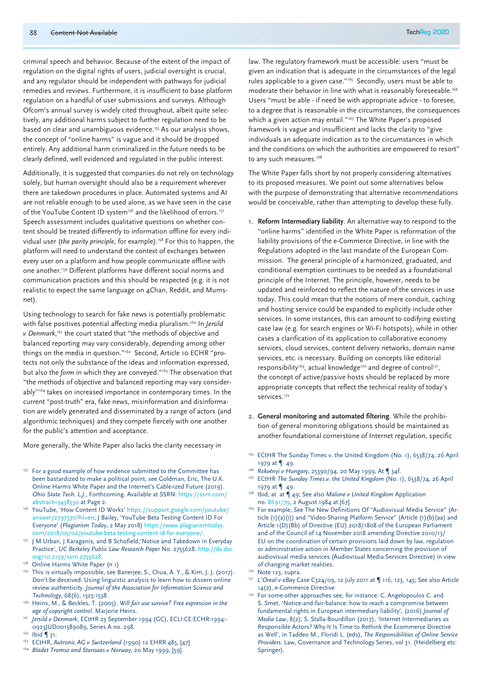criminal speech and behavior. Because of the extent of the impact of regulation on the digital rights of users, judicial oversight is crucial, and any regulator should be independent with pathways for judicial remedies and reviews. Furthermore, it is insufficient to base platform regulation on a handful of user submissions and surveys. Although Ofcom's annual survey is widely cited throughout, albeit quite selectively, any additional harms subject to further regulation need to be based on clear and unambiguous evidence.<sup>155</sup> As our analysis shows, the concept of "online harms" is vague and it should be dropped entirely. Any additional harm criminalized in the future needs to be clearly defined, well evidenced and regulated in the public interest.

Additionally, it is suggested that companies do not rely on technology solely, but human oversight should also be a requirement wherever there are takedown procedures in place. Automated systems and AI are not reliable enough to be used alone, as we have seen in the case of the YouTube Content ID system<sup>156</sup> and the likelihood of errors.<sup>157</sup> Speech assessment includes qualitative questions on whether content should be treated differently to information offline for every individual user (*the parity principle*, for example).<sup>158</sup> For this to happen, the platform will need to understand the context of exchanges between every user on a platform and how people communicate offline with one another.159 Different platforms have different social norms and communication practices and this should be respected (e.g. it is not realistic to expect the same language on 4Chan, Reddit, and Mumsnet).

Using technology to search for fake news is potentially problematic with false positives potential affecting media pluralism.160 In *Jersild v Denmark*, 161 the court stated that "the methods of objective and balanced reporting may vary considerably, depending among other things on the media in question."<sup>162</sup> Second, Article 10 ECHR "protects not only the substance of the ideas and information expressed, but also the *form* in which they are conveyed."163 The observation that "the methods of objective and balanced reporting may vary considerably''164 takes on increased importance in contemporary times. In the current "post-truth" era, fake news, misinformation and disinformation are widely generated and disseminated by a range of actors (and algorithmic techniques) and they compete fiercely with one another for the public's attention and acceptance.

More generally, the White Paper also lacks the clarity necessary in

- <sup>155</sup> For a good example of how evidence submitted to the Committee has been bastardized to make a political point, see Goldman, Eric, The U.K. Online Harms White Paper and the Internet's Cable-ized Future (2019). *Ohio State Tech. L.J.*, Forthcoming. Available at SSRN: https://ssrn.com/
- abstract=3438530 at Page 2.<br><sup>156</sup> YouTube, 'How Content ID Works' https://support.google.com/youtube/ answer/2797370?hl=en; J Bailey, 'YouTube Beta Testing Content ID For Everyone' (*Plagiarism Today*, 2 May 2018) https://www.plagiarismtoday. com/2018/05/02/youtube-beta-testing-content-id-for-everyone/.
- <sup>157</sup> J M Urban, J Karaganis, and B Schofield, 'Notice and Takedown in Everyday Practice', *UC Berkeley Public Law Research Paper* No. 2755628. http://dx.doi. org/10.2139/ssrn.2755628.<br><sup>158</sup> Online Harms White Paper (n 1)
- 
- 159 This is virtually impossible, see Banerjee, S., Chua, A. Y., & Kim, J. J. (2017). Don't be deceived: Using linguistic analysis to learn how to discern online review authenticity. *Journal of the Association for Information Science and Technology*, 68(6), 1525-1538.
- <sup>160</sup> Heins, M., & Beckles, T. (2005). *Will fair use survive? Free expression in the age of copyright control.* Marjorie Heins.
- <sup>161</sup> *Jersild v Denmark*, ECtHR 23 September 1994 (GC), ECLI:CE:ECHR:1994:- 0923JUD001589089, Series A no. 298.<br>Ibid ¶ 31.
- 
- <sup>163</sup> ECtHR, *Autronic AG v Switzerland* (1990) 12 EHRR 485, [47]
- <sup>164</sup> *Bladet Tromso and Stensaas v Norway*, 20 May 1999, [59].

law. The regulatory framework must be accessible: users "must be given an indication that is adequate in the circumstances of the legal rules applicable to a given case."165 Secondly, users must be able to moderate their behavior in line with what is reasonably foreseeable.166 Users "must be able - if need be with appropriate advice - to foresee, to a degree that is reasonable in the circumstances, the consequences which a given action may entail."<sup>167</sup> The White Paper's proposed framework is vague and insufficient and lacks the clarity to "give individuals an adequate indication as to the circumstances in which and the conditions on which the authorities are empowered to resort" to any such measures.<sup>168</sup>

The White Paper falls short by not properly considering alternatives to its proposed measures. We point out some alternatives below with the purpose of demonstrating that alternative recommendations would be conceivable, rather than attempting to develop these fully.

- 1. **Reform Intermediary liability**. An alternative way to respond to the "online harms" identified in the White Paper is reformation of the liability provisions of the e-Commerce Directive, in line with the Regulations adopted in the last mandate of the European Commission. The general principle of a harmonized, graduated, and conditional exemption continues to be needed as a foundational principle of the Internet. The principle, however, needs to be updated and reinforced to reflect the nature of the services in use today. This could mean that the notions of mere conduit, caching and hosting service could be expanded to explicitly include other services. In some instances, this can amount to codifying existing case law (e.g. for search engines or Wi-Fi hotspots), while in other cases a clarification of its application to collaborative economy services, cloud services, content delivery networks, domain name services, etc. is necessary. Building on concepts like editorial responsibility<sup>169</sup>, actual knowledge<sup>170</sup> and degree of control<sup>171</sup>, the concept of active/passive hosts should be replaced by more appropriate concepts that reflect the technical reality of today's services.172
- 2. **General monitoring and automated filtering**. While the prohibition of general monitoring obligations should be maintained as another foundational cornerstone of Internet regulation, specific
- <sup>165</sup> ECtHR The Sunday Times v. the United Kingdom (No. 1), 6538/74, 26 April 1979 at ¶ 49.
- <sup>166</sup> *Rekvényi v Hungary*, 25390/94, 20 May 1999, At ¶ 34f.
- <sup>167</sup> ECtHR *The Sunday Times v. the United Kingdom* (No. 1), 6538/74, 26 April 1979 at ¶ 49.
- <sup>168</sup> Ibid, at at ¶ 49; See also *Malone v United Kingdom* Application
- no. 8691/79, 2 August 1984 at [67].<br><sup>169</sup> For example, See The New Definitions Of "Audiovisual Media Service" (Article (1)(a)(i)) and "Video-Sharing Platform Service" (Article (1)(b)(aa) and Article 1(D)(Bb) of Directive (EU) 2018/1808 of the European Parliament and of the Council of 14 November 2018 amending Directive 2010/13/ EU on the coordination of certain provisions laid down by law, regulation or administrative action in Member States concerning the provision of audiovisual media services (Audiovisual Media Services Directive) in view of changing market realities.<br><sup>170</sup> Note 123, supra.
- 
- 171 L'Oreal v eBay Case C324/09, 12 July 2011 at ¶ 116, 123, 145; See also Article 14(2), e-Commerce Directive
- <sup>172</sup> For some other approaches see, for instance: C. Angelopoulos C. and S. Smet, 'Notice-and-fair-balance: how to reach a compromise between fundamental rights in European intermediary liability', (2016) *Journal of Media Law*, 8(2); S. Stalla-Bourdillon (2017), 'Internet Intermediaries as Responsible Actors? Why It Is Time to Rethink the Ecommerce Directive as Well', in Taddeo M., Floridi L. (eds), *The Responsibilities of Online Service Providers*. Law, Governance and Technology Series, vol 31. (Heidelberg etc: Springer).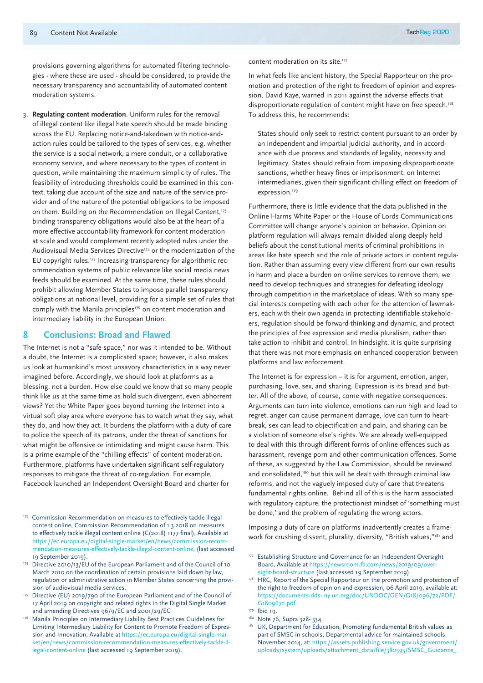provisions governing algorithms for automated filtering technologies - where these are used - should be considered, to provide the necessary transparency and accountability of automated content moderation systems.

3. **Regulating content moderation**. Uniform rules for the removal of illegal content like illegal hate speech should be made binding across the EU. Replacing notice-and-takedown with notice-andaction rules could be tailored to the types of services, e.g. whether the service is a social network, a mere conduit, or a collaborative economy service, and where necessary to the types of content in question, while maintaining the maximum simplicity of rules. The feasibility of introducing thresholds could be examined in this context, taking due account of the size and nature of the service provider and of the nature of the potential obligations to be imposed on them. Building on the Recommendation on Illegal Content,<sup>173</sup> binding transparency obligations would also be at the heart of a more effective accountability framework for content moderation at scale and would complement recently adopted rules under the Audiovisual Media Services Directive<sup>174</sup> or the modernization of the EU copyright rules.<sup>175</sup> Increasing transparency for algorithmic recommendation systems of public relevance like social media news feeds should be examined. At the same time, these rules should prohibit allowing Member States to impose parallel transparency obligations at national level, providing for a simple set of rules that comply with the Manila principles<sup>176</sup> on content moderation and intermediary liability in the European Union.

### **8 Conclusions: Broad and Flawed**

The Internet is not a "safe space," nor was it intended to be. Without a doubt, the Internet is a complicated space; however, it also makes us look at humankind's most unsavory characteristics in a way never imagined before. Accordingly, we should look at platforms as a blessing, not a burden. How else could we know that so many people think like us at the same time as hold such divergent, even abhorrent views? Yet the White Paper goes beyond turning the Internet into a virtual soft play area where everyone has to watch what they say, what they do, and how they act. It burdens the platform with a duty of care to police the speech of its patrons, under the threat of sanctions for what might be offensive or intimidating and might cause harm. This is a prime example of the "chilling effects" of content moderation. Furthermore, platforms have undertaken significant self-regulatory responses to mitigate the threat of co-regulation. For example, Facebook launched an Independent Oversight Board and charter for

- 173 Commission Recommendation on measures to effectively tackle illegal content online, Commission Recommendation of 1.3.2018 on measures to effectively tackle illegal content online (C(2018) 1177 final), Available at https://ec.europa.eu/digital-single-market/en/news/commission-recommendation-measures-effectively-tackle-illegal-content-online, (last accessed 19 September 2019). 174 Directive 2010/13/EU of the European Parliament and of the Council of 10
- March 2010 on the coordination of certain provisions laid down by law, regulation or administrative action in Member States concerning the provision of audiovisual media services.
- 175 Directive (EU) 2019/790 of the European Parliament and of the Council of 17 April 2019 on copyright and related rights in the Digital Single Market and amending Directives 96/9/EC and 2001/29/EC
- 176 Manila Principles on Intermediary Liability Best Practices Guidelines for Limiting Intermediary Liability for Content to Promote Freedom of Expression and Innovation, Available at https://ec.europa.eu/digital-single-market/en/news/commission-recommendation-measures-effectively-tackle-illegal-content-online (last accessed 19 September 2019).

content moderation on its site.<sup>177</sup>

In what feels like ancient history, the Special Rapporteur on the promotion and protection of the right to freedom of opinion and expression, David Kaye, warned in 2011 against the adverse effects that disproportionate regulation of content might have on free speech.<sup>178</sup> To address this, he recommends:

States should only seek to restrict content pursuant to an order by an independent and impartial judicial authority, and in accordance with due process and standards of legality, necessity and legitimacy. States should refrain from imposing disproportionate sanctions, whether heavy fines or imprisonment, on Internet intermediaries, given their significant chilling effect on freedom of expression.<sup>179</sup>

Furthermore, there is little evidence that the data published in the Online Harms White Paper or the House of Lords Communications Committee will change anyone's opinion or behavior. Opinion on platform regulation will always remain divided along deeply held beliefs about the constitutional merits of criminal prohibitions in areas like hate speech and the role of private actors in content regulation. Rather than assuming every view different from our own results in harm and place a burden on online services to remove them, we need to develop techniques and strategies for defeating ideology through competition in the marketplace of ideas. With so many special interests competing with each other for the attention of lawmakers, each with their own agenda in protecting identifiable stakeholders, regulation should be forward-thinking and dynamic, and protect the principles of free expression and media pluralism, rather than take action to inhibit and control. In hindsight, it is quite surprising that there was not more emphasis on enhanced cooperation between platforms and law enforcement.

The Internet is for expression – it is for argument, emotion, anger, purchasing, love, sex, and sharing. Expression is its bread and butter. All of the above, of course, come with negative consequences. Arguments can turn into violence, emotions can run high and lead to regret, anger can cause permanent damage, love can turn to heartbreak, sex can lead to objectification and pain, and sharing can be a violation of someone else's rights. We are already well-equipped to deal with this through different forms of online offences such as harassment, revenge porn and other communication offences. Some of these, as suggested by the Law Commission, should be reviewed and consolidated,<sup>180</sup> but this will be dealt with through criminal law reforms, and not the vaguely imposed duty of care that threatens fundamental rights online. Behind all of this is the harm associated with regulatory capture, the protectionist mindset of 'something must be done,' and the problem of regulating the wrong actors.

Imposing a duty of care on platforms inadvertently creates a framework for crushing dissent, plurality, diversity, "British values,"<sup>181</sup> and

sight-board-structure (last accessed 19 September 2019). 178 HRC, Report of the Special Rapporteur on the promotion and protection of the right to freedom of opinion and expression, 06 April 2019, available at: https://documents-dds- ny.un.org/doc/UNDOC/GEN/G18/096/72/PDF/ G1809672.pdf

- 180 Note 76, Supra 328-334.
- 181 UK, Department for Education, Promoting fundamental British values as part of SMSC in schools, Departmental advice for maintained schools, November 2014, at: https://assets.publishing.service.gov.uk/government/ uploads/system/uploads/attachment\_data/file/380595/SMSC\_Guidance\_

<sup>&</sup>lt;sup>177</sup> Establishing Structure and Governance for an Independent Oversight Board, Available at https://newsroom.fb.com/news/2019/09/over-

<sup>179</sup> Ibid 19.